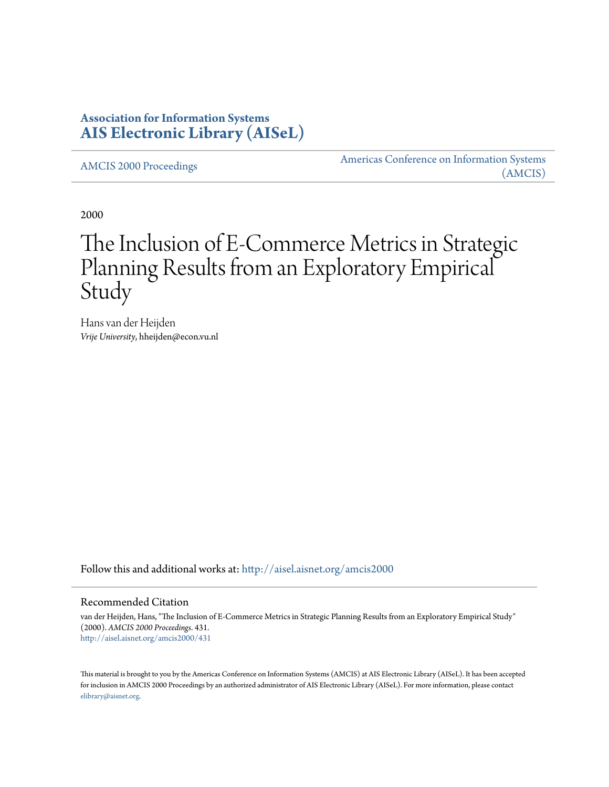# **Association for Information Systems [AIS Electronic Library \(AISeL\)](http://aisel.aisnet.org?utm_source=aisel.aisnet.org%2Famcis2000%2F431&utm_medium=PDF&utm_campaign=PDFCoverPages)**

[AMCIS 2000 Proceedings](http://aisel.aisnet.org/amcis2000?utm_source=aisel.aisnet.org%2Famcis2000%2F431&utm_medium=PDF&utm_campaign=PDFCoverPages)

[Americas Conference on Information Systems](http://aisel.aisnet.org/amcis?utm_source=aisel.aisnet.org%2Famcis2000%2F431&utm_medium=PDF&utm_campaign=PDFCoverPages) [\(AMCIS\)](http://aisel.aisnet.org/amcis?utm_source=aisel.aisnet.org%2Famcis2000%2F431&utm_medium=PDF&utm_campaign=PDFCoverPages)

2000

# The Inclusion of E-Commerce Metrics in Strategic Planning Results from an Exploratory Empirical Study

Hans van der Heijden *Vrije University*, hheijden@econ.vu.nl

Follow this and additional works at: [http://aisel.aisnet.org/amcis2000](http://aisel.aisnet.org/amcis2000?utm_source=aisel.aisnet.org%2Famcis2000%2F431&utm_medium=PDF&utm_campaign=PDFCoverPages)

#### Recommended Citation

van der Heijden, Hans, "The Inclusion of E-Commerce Metrics in Strategic Planning Results from an Exploratory Empirical Study" (2000). *AMCIS 2000 Proceedings*. 431. [http://aisel.aisnet.org/amcis2000/431](http://aisel.aisnet.org/amcis2000/431?utm_source=aisel.aisnet.org%2Famcis2000%2F431&utm_medium=PDF&utm_campaign=PDFCoverPages)

This material is brought to you by the Americas Conference on Information Systems (AMCIS) at AIS Electronic Library (AISeL). It has been accepted for inclusion in AMCIS 2000 Proceedings by an authorized administrator of AIS Electronic Library (AISeL). For more information, please contact [elibrary@aisnet.org.](mailto:elibrary@aisnet.org%3E)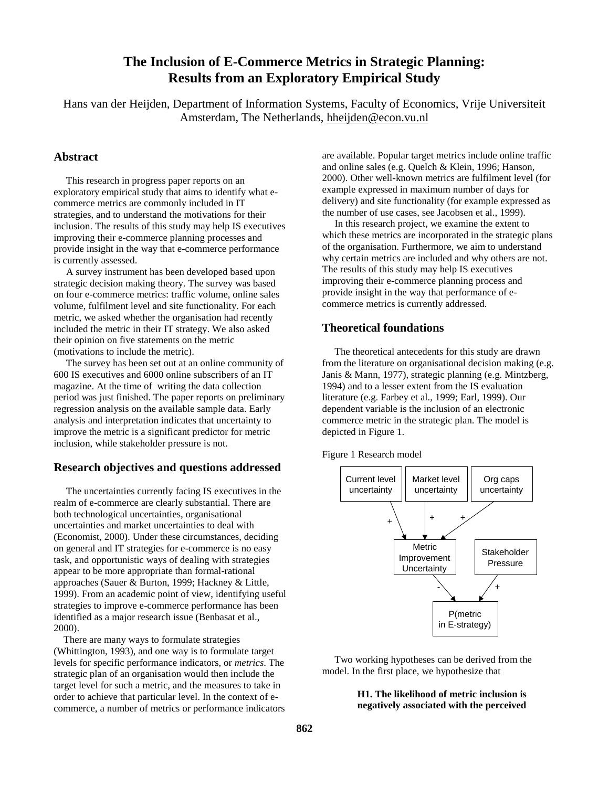# **The Inclusion of E-Commerce Metrics in Strategic Planning: Results from an Exploratory Empirical Study**

Hans van der Heijden, Department of Information Systems, Faculty of Economics, Vrije Universiteit Amsterdam, The Netherlands, hheijden@econ.vu.nl

# **Abstract**

 This research in progress paper reports on an exploratory empirical study that aims to identify what ecommerce metrics are commonly included in IT strategies, and to understand the motivations for their inclusion. The results of this study may help IS executives improving their e-commerce planning processes and provide insight in the way that e-commerce performance is currently assessed.

 A survey instrument has been developed based upon strategic decision making theory. The survey was based on four e-commerce metrics: traffic volume, online sales volume, fulfilment level and site functionality. For each metric, we asked whether the organisation had recently included the metric in their IT strategy. We also asked their opinion on five statements on the metric (motivations to include the metric).

 The survey has been set out at an online community of 600 IS executives and 6000 online subscribers of an IT magazine. At the time of writing the data collection period was just finished. The paper reports on preliminary regression analysis on the available sample data. Early analysis and interpretation indicates that uncertainty to improve the metric is a significant predictor for metric inclusion, while stakeholder pressure is not.

# **Research objectives and questions addressed**

 The uncertainties currently facing IS executives in the realm of e-commerce are clearly substantial. There are both technological uncertainties, organisational uncertainties and market uncertainties to deal with (Economist, 2000). Under these circumstances, deciding on general and IT strategies for e-commerce is no easy task, and opportunistic ways of dealing with strategies appear to be more appropriate than formal-rational approaches (Sauer & Burton, 1999; Hackney & Little, 1999). From an academic point of view, identifying useful strategies to improve e-commerce performance has been identified as a major research issue (Benbasat et al., 2000).

 There are many ways to formulate strategies (Whittington, 1993), and one way is to formulate target levels for specific performance indicators, or *metrics*. The strategic plan of an organisation would then include the target level for such a metric, and the measures to take in order to achieve that particular level. In the context of ecommerce, a number of metrics or performance indicators

are available. Popular target metrics include online traffic and online sales (e.g. Quelch & Klein, 1996; Hanson, 2000). Other well-known metrics are fulfilment level (for example expressed in maximum number of days for delivery) and site functionality (for example expressed as the number of use cases, see Jacobsen et al., 1999).

 In this research project, we examine the extent to which these metrics are incorporated in the strategic plans of the organisation. Furthermore, we aim to understand why certain metrics are included and why others are not. The results of this study may help IS executives improving their e-commerce planning process and provide insight in the way that performance of ecommerce metrics is currently addressed.

# **Theoretical foundations**

 The theoretical antecedents for this study are drawn from the literature on organisational decision making (e.g. Janis & Mann, 1977), strategic planning (e.g. Mintzberg, 1994) and to a lesser extent from the IS evaluation literature (e.g. Farbey et al., 1999; Earl, 1999). Our dependent variable is the inclusion of an electronic commerce metric in the strategic plan. The model is depicted in Figure 1.

Figure 1 Research model



 Two working hypotheses can be derived from the model. In the first place, we hypothesize that

> **H1. The likelihood of metric inclusion is negatively associated with the perceived**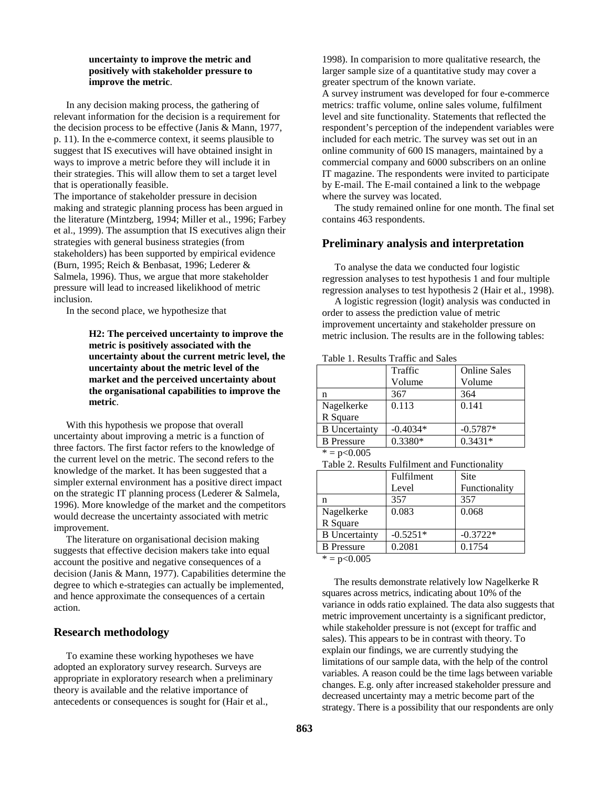#### **uncertainty to improve the metric and positively with stakeholder pressure to improve the metric**.

 In any decision making process, the gathering of relevant information for the decision is a requirement for the decision process to be effective (Janis & Mann, 1977, p. 11). In the e-commerce context, it seems plausible to suggest that IS executives will have obtained insight in ways to improve a metric before they will include it in their strategies. This will allow them to set a target level that is operationally feasible.

The importance of stakeholder pressure in decision making and strategic planning process has been argued in the literature (Mintzberg, 1994; Miller et al., 1996; Farbey et al., 1999). The assumption that IS executives align their strategies with general business strategies (from stakeholders) has been supported by empirical evidence (Burn, 1995; Reich & Benbasat, 1996; Lederer & Salmela, 1996). Thus, we argue that more stakeholder pressure will lead to increased likelikhood of metric inclusion.

In the second place, we hypothesize that

#### **H2: The perceived uncertainty to improve the metric is positively associated with the uncertainty about the current metric level, the uncertainty about the metric level of the market and the perceived uncertainty about the organisational capabilities to improve the metric**.

 With this hypothesis we propose that overall uncertainty about improving a metric is a function of three factors. The first factor refers to the knowledge of the current level on the metric. The second refers to the knowledge of the market. It has been suggested that a simpler external environment has a positive direct impact on the strategic IT planning process (Lederer & Salmela, 1996). More knowledge of the market and the competitors would decrease the uncertainty associated with metric improvement.

 The literature on organisational decision making suggests that effective decision makers take into equal account the positive and negative consequences of a decision (Janis & Mann, 1977). Capabilities determine the degree to which e-strategies can actually be implemented, and hence approximate the consequences of a certain action.

# **Research methodology**

 To examine these working hypotheses we have adopted an exploratory survey research. Surveys are appropriate in exploratory research when a preliminary theory is available and the relative importance of antecedents or consequences is sought for (Hair et al.,

1998). In comparision to more qualitative research, the larger sample size of a quantitative study may cover a greater spectrum of the known variate.

A survey instrument was developed for four e-commerce metrics: traffic volume, online sales volume, fulfilment level and site functionality. Statements that reflected the respondent's perception of the independent variables were included for each metric. The survey was set out in an online community of 600 IS managers, maintained by a commercial company and 6000 subscribers on an online IT magazine. The respondents were invited to participate by E-mail. The E-mail contained a link to the webpage where the survey was located.

 The study remained online for one month. The final set contains 463 respondents.

# **Preliminary analysis and interpretation**

 To analyse the data we conducted four logistic regression analyses to test hypothesis 1 and four multiple regression analyses to test hypothesis 2 (Hair et al., 1998).

 A logistic regression (logit) analysis was conducted in order to assess the prediction value of metric improvement uncertainty and stakeholder pressure on metric inclusion. The results are in the following tables:

#### Table 1. Results Traffic and Sales

|                      | Traffic    | <b>Online Sales</b> |
|----------------------|------------|---------------------|
|                      | Volume     | Volume              |
| n                    | 367        | 364                 |
| Nagelkerke           | 0.113      | 0.141               |
| R Square             |            |                     |
| <b>B</b> Uncertainty | $-0.4034*$ | $-0.5787*$          |
| <b>B</b> Pressure    | $0.3380*$  | $0.3431*$           |

 $* = p < 0.005$ 

Table 2. Results Fulfilment and Functionality

| Fulfilment | <b>Site</b>   |
|------------|---------------|
| Level      | Functionality |
| 357        | 357           |
| 0.083      | 0.068         |
|            |               |
| $-0.5251*$ | $-0.3722*$    |
| 0.2081     | 0.1754        |
|            |               |

 $* = p < 0.005$ 

 The results demonstrate relatively low Nagelkerke R squares across metrics, indicating about 10% of the variance in odds ratio explained. The data also suggests that metric improvement uncertainty is a significant predictor, while stakeholder pressure is not (except for traffic and sales). This appears to be in contrast with theory. To explain our findings, we are currently studying the limitations of our sample data, with the help of the control variables. A reason could be the time lags between variable changes. E.g. only after increased stakeholder pressure and decreased uncertainty may a metric become part of the strategy. There is a possibility that our respondents are only